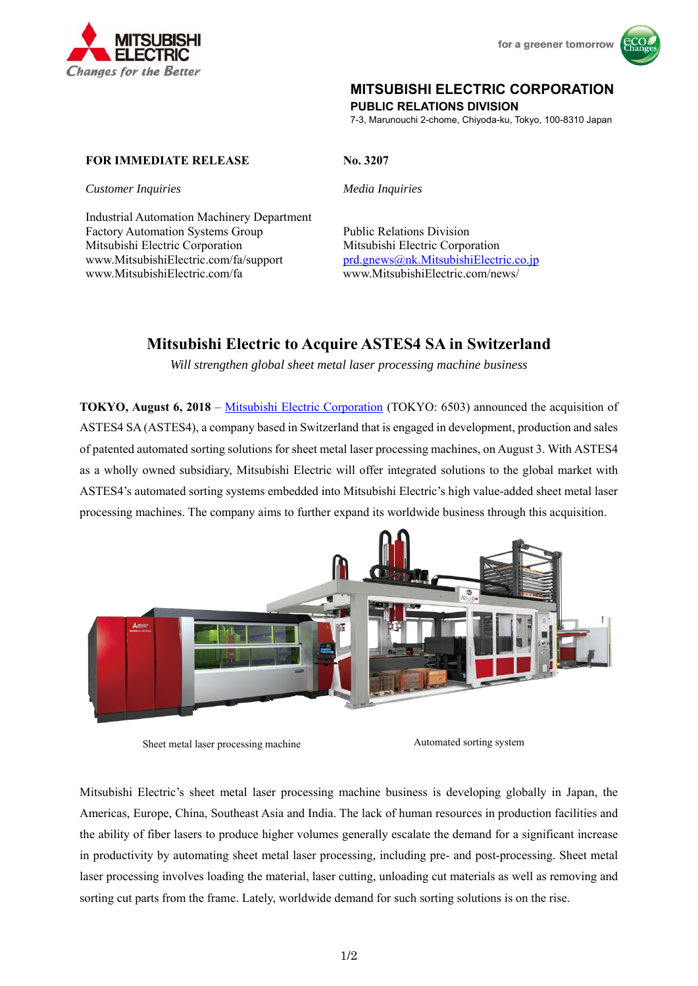



## **MITSUBISHI ELECTRIC CORPORATION**

**PUBLIC RELATIONS DIVISION** 

7-3, Marunouchi 2-chome, Chiyoda-ku, Tokyo, 100-8310 Japan

## **FOR IMMEDIATE RELEASE No. 3207**

*Customer Inquiries Media Inquiries* 

Industrial Automation Machinery Department Factory Automation Systems Group Mitsubishi Electric Corporation www.MitsubishiElectric.com/fa/support prd.gnews@nk.MitsubishiElectric.co.jp www.MitsubishiElectric.com/fa www.MitsubishiElectric.com/news/

Public Relations Division Mitsubishi Electric Corporation

# **Mitsubishi Electric to Acquire ASTES4 SA in Switzerland**

*Will strengthen global sheet metal laser processing machine business* 

**TOKYO, August 6, 2018** – Mitsubishi Electric Corporation (TOKYO: 6503) announced the acquisition of ASTES4 SA (ASTES4), a company based in Switzerland that is engaged in development, production and sales of patented automated sorting solutions for sheet metal laser processing machines, on August 3. With ASTES4 as a wholly owned subsidiary, Mitsubishi Electric will offer integrated solutions to the global market with ASTES4's automated sorting systems embedded into Mitsubishi Electric's high value-added sheet metal laser processing machines. The company aims to further expand its worldwide business through this acquisition.



Sheet metal laser processing machine Automated sorting system

Mitsubishi Electric's sheet metal laser processing machine business is developing globally in Japan, the Americas, Europe, China, Southeast Asia and India. The lack of human resources in production facilities and the ability of fiber lasers to produce higher volumes generally escalate the demand for a significant increase in productivity by automating sheet metal laser processing, including pre- and post-processing. Sheet metal laser processing involves loading the material, laser cutting, unloading cut materials as well as removing and sorting cut parts from the frame. Lately, worldwide demand for such sorting solutions is on the rise.